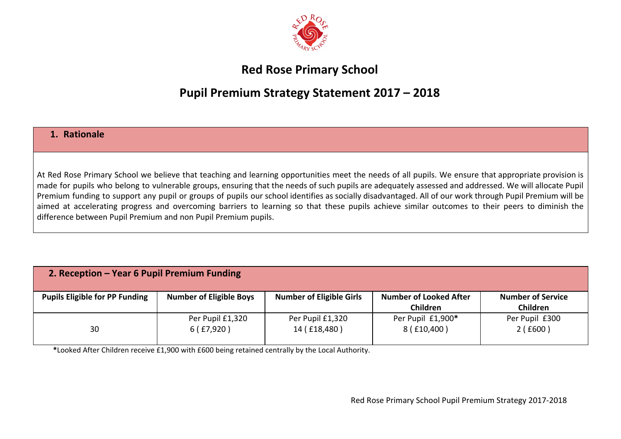

## **Red Rose Primary School**

## **Pupil Premium Strategy Statement 2017 – 2018**

## **1. Rationale**

At Red Rose Primary School we believe that teaching and learning opportunities meet the needs of all pupils. We ensure that appropriate provision is made for pupils who belong to vulnerable groups, ensuring that the needs of such pupils are adequately assessed and addressed. We will allocate Pupil Premium funding to support any pupil or groups of pupils our school identifies as socially disadvantaged. All of our work through Pupil Premium will be aimed at accelerating progress and overcoming barriers to learning so that these pupils achieve similar outcomes to their peers to diminish the difference between Pupil Premium and non Pupil Premium pupils.

| 2. Reception - Year 6 Pupil Premium Funding |                                |                                  |                                                  |                                             |  |  |  |
|---------------------------------------------|--------------------------------|----------------------------------|--------------------------------------------------|---------------------------------------------|--|--|--|
| <b>Pupils Eligible for PP Funding</b>       | <b>Number of Eligible Boys</b> | <b>Number of Eligible Girls</b>  | <b>Number of Looked After</b><br><b>Children</b> | <b>Number of Service</b><br><b>Children</b> |  |  |  |
| 30                                          | Per Pupil £1,320<br>6(f.7,920) | Per Pupil £1,320<br>14 (£18,480) | Per Pupil £1,900*<br>8 (£10,400)                 | Per Pupil £300<br>2(£600)                   |  |  |  |

**\***Looked After Children receive £1,900 with £600 being retained centrally by the Local Authority.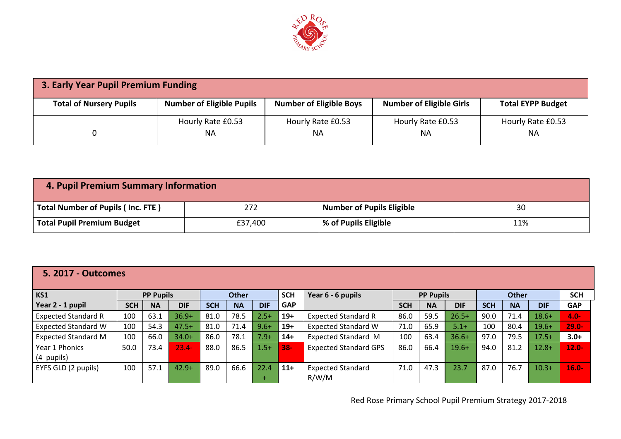

| 3. Early Year Pupil Premium Funding |                                  |                                |                                 |                          |  |  |  |
|-------------------------------------|----------------------------------|--------------------------------|---------------------------------|--------------------------|--|--|--|
| <b>Total of Nursery Pupils</b>      | <b>Number of Eligible Pupils</b> | <b>Number of Eligible Boys</b> | <b>Number of Eligible Girls</b> | <b>Total EYPP Budget</b> |  |  |  |
|                                     | Hourly Rate £0.53                | Hourly Rate £0.53              | Hourly Rate £0.53               | Hourly Rate £0.53        |  |  |  |
|                                     | <b>NA</b>                        | ΝA                             | <b>NA</b>                       | NА                       |  |  |  |

| 4. Pupil Premium Summary Information     |         |                                  |     |  |  |  |
|------------------------------------------|---------|----------------------------------|-----|--|--|--|
| <b>Total Number of Pupils (Inc. FTE)</b> | 272     | <b>Number of Pupils Eligible</b> | 30  |  |  |  |
| Total Pupil Premium Budget               | £37,400 | % of Pupils Eligible             | 11% |  |  |  |

| <b>5. 2017 - Outcomes</b>  |            |                  |            |            |              |            |            |                              |            |                  |            |            |              |            |            |
|----------------------------|------------|------------------|------------|------------|--------------|------------|------------|------------------------------|------------|------------------|------------|------------|--------------|------------|------------|
| KS1                        |            | <b>PP Pupils</b> |            |            | <b>Other</b> |            | <b>SCH</b> | Year 6 - 6 pupils            |            | <b>PP Pupils</b> |            |            | <b>Other</b> |            | <b>SCH</b> |
| Year 2 - 1 pupil           | <b>SCH</b> | <b>NA</b>        | <b>DIF</b> | <b>SCH</b> | <b>NA</b>    | <b>DIF</b> | <b>GAP</b> |                              | <b>SCH</b> | <b>NA</b>        | <b>DIF</b> | <b>SCH</b> | <b>NA</b>    | <b>DIF</b> | <b>GAP</b> |
| <b>Expected Standard R</b> | 100        | 63.1             | $36.9+$    | 81.0       | 78.5         | $2.5+$     | $19+$      | <b>Expected Standard R</b>   | 86.0       | 59.5             | $26.5+$    | 90.0       | 71.4         | $18.6+$    | $4.0 -$    |
| <b>Expected Standard W</b> | 100        | 54.3             | $47.5+$    | 81.0       | 71.4         | $9.6+$     | $19+$      | <b>Expected Standard W</b>   | 71.0       | 65.9             | $5.1+$     | 100        | 80.4         | $19.6+$    | $29.0 -$   |
| <b>Expected Standard M</b> | 100        | 66.0             | $34.0+$    | 86.0       | 78.1         | $7.9+$     | $14+$      | <b>Expected Standard M</b>   | 100        | 63.4             | $36.6+$    | 97.0       | 79.5         | $17.5+$    | $3.0+$     |
| Year 1 Phonics             | 50.0       | 73.4             | $23.4 -$   | 88.0       | 86.5         | $1.5+$     | $38 -$     | <b>Expected Standard GPS</b> | 86.0       | 66.4             | $19.6+$    | 94.0       | 81.2         | $12.8+$    | $12.0 -$   |
| (4 pupils)                 |            |                  |            |            |              |            |            |                              |            |                  |            |            |              |            |            |
| EYFS GLD (2 pupils)        | 100        | 57.1             | $42.9+$    | 89.0       | 66.6         | 22.4       | $11+$      | <b>Expected Standard</b>     | 71.0       | 47.3             | 23.7       | 87.0       | 76.7         | $10.3+$    | $16.0 -$   |
|                            |            |                  |            |            |              | ÷.         |            | R/W/M                        |            |                  |            |            |              |            |            |

Red Rose Primary School Pupil Premium Strategy 2017-2018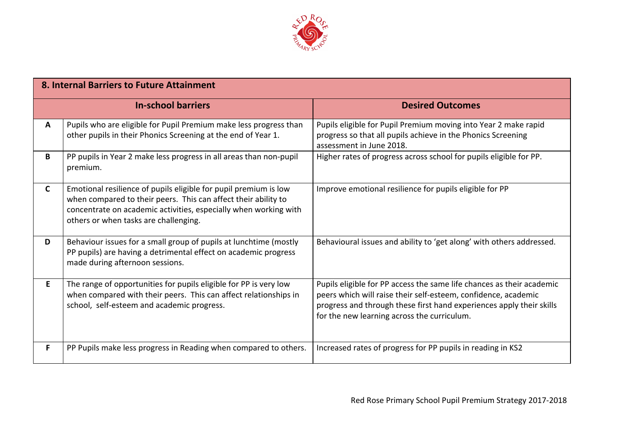

|              | 8. Internal Barriers to Future Attainment                                                                                                                                                                                                       |                                                                                                                                                                                                                                                                |  |  |  |  |  |  |
|--------------|-------------------------------------------------------------------------------------------------------------------------------------------------------------------------------------------------------------------------------------------------|----------------------------------------------------------------------------------------------------------------------------------------------------------------------------------------------------------------------------------------------------------------|--|--|--|--|--|--|
|              | <b>In-school barriers</b>                                                                                                                                                                                                                       | <b>Desired Outcomes</b>                                                                                                                                                                                                                                        |  |  |  |  |  |  |
| A            | Pupils who are eligible for Pupil Premium make less progress than<br>other pupils in their Phonics Screening at the end of Year 1.                                                                                                              | Pupils eligible for Pupil Premium moving into Year 2 make rapid<br>progress so that all pupils achieve in the Phonics Screening<br>assessment in June 2018.                                                                                                    |  |  |  |  |  |  |
| B            | PP pupils in Year 2 make less progress in all areas than non-pupil<br>premium.                                                                                                                                                                  | Higher rates of progress across school for pupils eligible for PP.                                                                                                                                                                                             |  |  |  |  |  |  |
| $\mathsf{C}$ | Emotional resilience of pupils eligible for pupil premium is low<br>when compared to their peers. This can affect their ability to<br>concentrate on academic activities, especially when working with<br>others or when tasks are challenging. | Improve emotional resilience for pupils eligible for PP                                                                                                                                                                                                        |  |  |  |  |  |  |
| D            | Behaviour issues for a small group of pupils at lunchtime (mostly<br>PP pupils) are having a detrimental effect on academic progress<br>made during afternoon sessions.                                                                         | Behavioural issues and ability to 'get along' with others addressed.                                                                                                                                                                                           |  |  |  |  |  |  |
| E.           | The range of opportunities for pupils eligible for PP is very low<br>when compared with their peers. This can affect relationships in<br>school, self-esteem and academic progress.                                                             | Pupils eligible for PP access the same life chances as their academic<br>peers which will raise their self-esteem, confidence, academic<br>progress and through these first hand experiences apply their skills<br>for the new learning across the curriculum. |  |  |  |  |  |  |
| F.           | PP Pupils make less progress in Reading when compared to others.                                                                                                                                                                                | Increased rates of progress for PP pupils in reading in KS2                                                                                                                                                                                                    |  |  |  |  |  |  |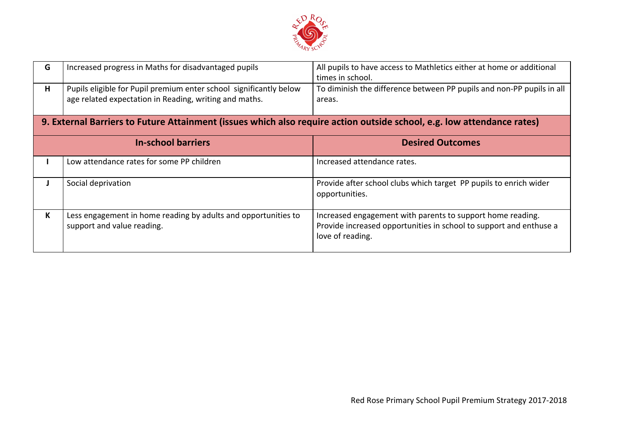

| G  | Increased progress in Maths for disadvantaged pupils                                                                         | All pupils to have access to Mathletics either at home or additional<br>times in school.                                                             |  |  |  |  |  |  |  |  |
|----|------------------------------------------------------------------------------------------------------------------------------|------------------------------------------------------------------------------------------------------------------------------------------------------|--|--|--|--|--|--|--|--|
| H. | Pupils eligible for Pupil premium enter school significantly below<br>age related expectation in Reading, writing and maths. | To diminish the difference between PP pupils and non-PP pupils in all<br>areas.                                                                      |  |  |  |  |  |  |  |  |
|    | 9. External Barriers to Future Attainment (issues which also require action outside school, e.g. low attendance rates)       |                                                                                                                                                      |  |  |  |  |  |  |  |  |
|    | <b>In-school barriers</b>                                                                                                    | <b>Desired Outcomes</b>                                                                                                                              |  |  |  |  |  |  |  |  |
|    | Low attendance rates for some PP children                                                                                    | Increased attendance rates.                                                                                                                          |  |  |  |  |  |  |  |  |
|    | Social deprivation                                                                                                           | Provide after school clubs which target PP pupils to enrich wider<br>opportunities.                                                                  |  |  |  |  |  |  |  |  |
| K. | Less engagement in home reading by adults and opportunities to<br>support and value reading.                                 | Increased engagement with parents to support home reading.<br>Provide increased opportunities in school to support and enthuse a<br>love of reading. |  |  |  |  |  |  |  |  |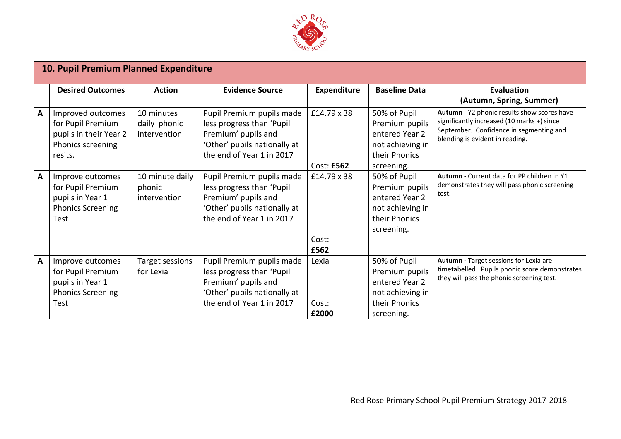

|   | 10. Pupil Premium Planned Expenditure                                                            |                                            |                                                                                                                                            |                              |                                                                                                     |                                                                                                                                                                         |
|---|--------------------------------------------------------------------------------------------------|--------------------------------------------|--------------------------------------------------------------------------------------------------------------------------------------------|------------------------------|-----------------------------------------------------------------------------------------------------|-------------------------------------------------------------------------------------------------------------------------------------------------------------------------|
|   | <b>Desired Outcomes</b>                                                                          | <b>Action</b>                              | <b>Evidence Source</b>                                                                                                                     | <b>Expenditure</b>           | <b>Baseline Data</b>                                                                                | <b>Evaluation</b><br>(Autumn, Spring, Summer)                                                                                                                           |
| A | Improved outcomes<br>for Pupil Premium<br>pupils in their Year 2<br>Phonics screening<br>resits. | 10 minutes<br>daily phonic<br>intervention | Pupil Premium pupils made<br>less progress than 'Pupil<br>Premium' pupils and<br>'Other' pupils nationally at<br>the end of Year 1 in 2017 | £14.79 x 38<br>Cost: £562    | 50% of Pupil<br>Premium pupils<br>entered Year 2<br>not achieving in<br>their Phonics<br>screening. | Autumn - Y2 phonic results show scores have<br>significantly increased (10 marks +) since<br>September. Confidence in segmenting and<br>blending is evident in reading. |
| A | Improve outcomes<br>for Pupil Premium<br>pupils in Year 1<br><b>Phonics Screening</b><br>Test    | 10 minute daily<br>phonic<br>intervention  | Pupil Premium pupils made<br>less progress than 'Pupil<br>Premium' pupils and<br>'Other' pupils nationally at<br>the end of Year 1 in 2017 | £14.79 x 38<br>Cost:<br>£562 | 50% of Pupil<br>Premium pupils<br>entered Year 2<br>not achieving in<br>their Phonics<br>screening. | Autumn - Current data for PP children in Y1<br>demonstrates they will pass phonic screening<br>test.                                                                    |
| A | Improve outcomes<br>for Pupil Premium<br>pupils in Year 1<br><b>Phonics Screening</b><br>Test    | Target sessions<br>for Lexia               | Pupil Premium pupils made<br>less progress than 'Pupil<br>Premium' pupils and<br>'Other' pupils nationally at<br>the end of Year 1 in 2017 | Lexia<br>Cost:<br>£2000      | 50% of Pupil<br>Premium pupils<br>entered Year 2<br>not achieving in<br>their Phonics<br>screening. | Autumn - Target sessions for Lexia are<br>timetabelled. Pupils phonic score demonstrates<br>they will pass the phonic screening test.                                   |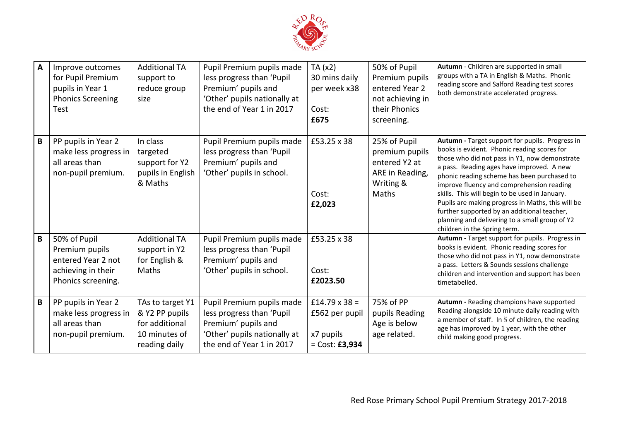

| A | Improve outcomes<br>for Pupil Premium<br>pupils in Year 1<br><b>Phonics Screening</b><br>Test    | <b>Additional TA</b><br>support to<br>reduce group<br>size                             | Pupil Premium pupils made<br>less progress than 'Pupil<br>Premium' pupils and<br>'Other' pupils nationally at<br>the end of Year 1 in 2017 | TA(x2)<br>30 mins daily<br>per week x38<br>Cost:<br>£675                | 50% of Pupil<br>Premium pupils<br>entered Year 2<br>not achieving in<br>their Phonics<br>screening. | Autumn - Children are supported in small<br>groups with a TA in English & Maths. Phonic<br>reading score and Salford Reading test scores<br>both demonstrate accelerated progress.                                                                                                                                                                                                                                                                                                                                               |
|---|--------------------------------------------------------------------------------------------------|----------------------------------------------------------------------------------------|--------------------------------------------------------------------------------------------------------------------------------------------|-------------------------------------------------------------------------|-----------------------------------------------------------------------------------------------------|----------------------------------------------------------------------------------------------------------------------------------------------------------------------------------------------------------------------------------------------------------------------------------------------------------------------------------------------------------------------------------------------------------------------------------------------------------------------------------------------------------------------------------|
| B | PP pupils in Year 2<br>make less progress in<br>all areas than<br>non-pupil premium.             | In class<br>targeted<br>support for Y2<br>pupils in English<br>& Maths                 | Pupil Premium pupils made<br>less progress than 'Pupil<br>Premium' pupils and<br>'Other' pupils in school.                                 | £53.25 x 38<br>Cost:<br>£2,023                                          | 25% of Pupil<br>premium pupils<br>entered Y2 at<br>ARE in Reading,<br>Writing &<br>Maths            | Autumn - Target support for pupils. Progress in<br>books is evident. Phonic reading scores for<br>those who did not pass in Y1, now demonstrate<br>a pass. Reading ages have improved. A new<br>phonic reading scheme has been purchased to<br>improve fluency and comprehension reading<br>skills. This will begin to be used in January.<br>Pupils are making progress in Maths, this will be<br>further supported by an additional teacher,<br>planning and delivering to a small group of Y2<br>children in the Spring term. |
| B | 50% of Pupil<br>Premium pupils<br>entered Year 2 not<br>achieving in their<br>Phonics screening. | <b>Additional TA</b><br>support in Y2<br>for English &<br>Maths                        | Pupil Premium pupils made<br>less progress than 'Pupil<br>Premium' pupils and<br>'Other' pupils in school.                                 | £53.25 x 38<br>Cost:<br>£2023.50                                        |                                                                                                     | Autumn - Target support for pupils. Progress in<br>books is evident. Phonic reading scores for<br>those who did not pass in Y1, now demonstrate<br>a pass. Letters & Sounds sessions challenge<br>children and intervention and support has been<br>timetabelled.                                                                                                                                                                                                                                                                |
| B | PP pupils in Year 2<br>make less progress in<br>all areas than<br>non-pupil premium.             | TAs to target Y1<br>& Y2 PP pupils<br>for additional<br>10 minutes of<br>reading daily | Pupil Premium pupils made<br>less progress than 'Pupil<br>Premium' pupils and<br>'Other' pupils nationally at<br>the end of Year 1 in 2017 | £14.79 $\times$ 38 =<br>£562 per pupil<br>x7 pupils<br>$=$ Cost: £3,934 | 75% of PP<br>pupils Reading<br>Age is below<br>age related.                                         | Autumn - Reading champions have supported<br>Reading alongside 10 minute daily reading with<br>a member of staff. In $\frac{2}{3}$ of children, the reading<br>age has improved by 1 year, with the other<br>child making good progress.                                                                                                                                                                                                                                                                                         |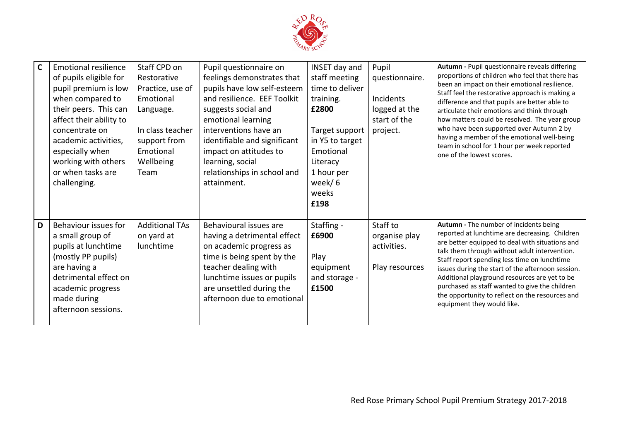

| C | <b>Emotional resilience</b><br>of pupils eligible for<br>pupil premium is low<br>when compared to<br>their peers. This can<br>affect their ability to<br>concentrate on<br>academic activities,<br>especially when<br>working with others<br>or when tasks are<br>challenging. | Staff CPD on<br>Restorative<br>Practice, use of<br>Emotional<br>Language.<br>In class teacher<br>support from<br>Emotional<br>Wellbeing<br>Team | Pupil questionnaire on<br>feelings demonstrates that<br>pupils have low self-esteem<br>and resilience. EEF Toolkit<br>suggests social and<br>emotional learning<br>interventions have an<br>identifiable and significant<br>impact on attitudes to<br>learning, social<br>relationships in school and<br>attainment. | <b>INSET day and</b><br>staff meeting<br>time to deliver<br>training.<br>£2800<br>Target support<br>in Y5 to target<br>Emotional<br>Literacy<br>1 hour per<br>week/6<br>weeks<br>£198 | Pupil<br>questionnaire.<br>Incidents<br>logged at the<br>start of the<br>project. | Autumn - Pupil questionnaire reveals differing<br>proportions of children who feel that there has<br>been an impact on their emotional resilience.<br>Staff feel the restorative approach is making a<br>difference and that pupils are better able to<br>articulate their emotions and think through<br>how matters could be resolved. The year group<br>who have been supported over Autumn 2 by<br>having a member of the emotional well-being<br>team in school for 1 hour per week reported<br>one of the lowest scores. |
|---|--------------------------------------------------------------------------------------------------------------------------------------------------------------------------------------------------------------------------------------------------------------------------------|-------------------------------------------------------------------------------------------------------------------------------------------------|----------------------------------------------------------------------------------------------------------------------------------------------------------------------------------------------------------------------------------------------------------------------------------------------------------------------|---------------------------------------------------------------------------------------------------------------------------------------------------------------------------------------|-----------------------------------------------------------------------------------|-------------------------------------------------------------------------------------------------------------------------------------------------------------------------------------------------------------------------------------------------------------------------------------------------------------------------------------------------------------------------------------------------------------------------------------------------------------------------------------------------------------------------------|
| D | Behaviour issues for<br>a small group of<br>pupils at lunchtime<br>(mostly PP pupils)<br>are having a<br>detrimental effect on<br>academic progress<br>made during<br>afternoon sessions.                                                                                      | <b>Additional TAs</b><br>on yard at<br>lunchtime                                                                                                | Behavioural issues are<br>having a detrimental effect<br>on academic progress as<br>time is being spent by the<br>teacher dealing with<br>lunchtime issues or pupils<br>are unsettled during the<br>afternoon due to emotional                                                                                       | Staffing -<br>£6900<br>Play<br>equipment<br>and storage -<br>£1500                                                                                                                    | Staff to<br>organise play<br>activities.<br>Play resources                        | Autumn - The number of incidents being<br>reported at lunchtime are decreasing. Children<br>are better equipped to deal with situations and<br>talk them through without adult intervention.<br>Staff report spending less time on lunchtime<br>issues during the start of the afternoon session.<br>Additional playground resources are yet to be<br>purchased as staff wanted to give the children<br>the opportunity to reflect on the resources and<br>equipment they would like.                                         |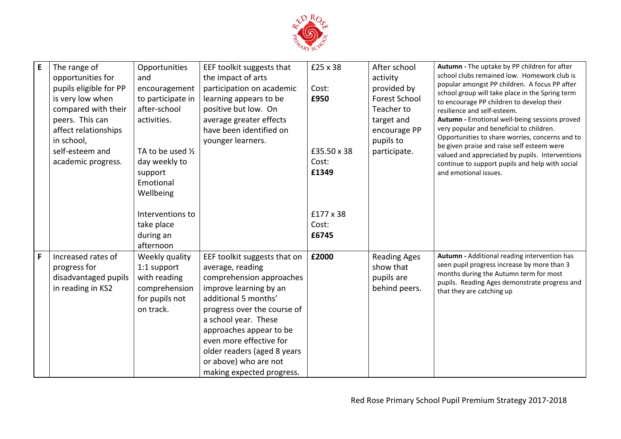

| E | The range of<br>opportunities for<br>pupils eligible for PP<br>is very low when<br>compared with their<br>peers. This can<br>affect relationships<br>in school,<br>self-esteem and<br>academic progress. | Opportunities<br>and<br>encouragement<br>to participate in<br>after-school<br>activities.<br>TA to be used 1/2<br>day weekly to<br>support<br>Emotional<br>Wellbeing<br>Interventions to<br>take place | EEF toolkit suggests that<br>the impact of arts<br>participation on academic<br>learning appears to be<br>positive but low. On<br>average greater effects<br>have been identified on<br>younger learners.                                                                                                                        | £25 x 38<br>Cost:<br>£950<br>£35.50 x 38<br>Cost:<br>£1349<br>£177 x 38<br>Cost: | After school<br>activity<br>provided by<br><b>Forest School</b><br>Teacher to<br>target and<br>encourage PP<br>pupils to<br>participate. | Autumn - The uptake by PP children for after<br>school clubs remained low. Homework club is<br>popular amongst PP children. A focus PP after<br>school group will take place in the Spring term<br>to encourage PP children to develop their<br>resilience and self-esteem.<br>Autumn - Emotional well-being sessions proved<br>very popular and beneficial to children.<br>Opportunities to share worries, concerns and to<br>be given praise and raise self esteem were<br>valued and appreciated by pupils. Interventions<br>continue to support pupils and help with social<br>and emotional issues. |
|---|----------------------------------------------------------------------------------------------------------------------------------------------------------------------------------------------------------|--------------------------------------------------------------------------------------------------------------------------------------------------------------------------------------------------------|----------------------------------------------------------------------------------------------------------------------------------------------------------------------------------------------------------------------------------------------------------------------------------------------------------------------------------|----------------------------------------------------------------------------------|------------------------------------------------------------------------------------------------------------------------------------------|----------------------------------------------------------------------------------------------------------------------------------------------------------------------------------------------------------------------------------------------------------------------------------------------------------------------------------------------------------------------------------------------------------------------------------------------------------------------------------------------------------------------------------------------------------------------------------------------------------|
| F | Increased rates of<br>progress for<br>disadvantaged pupils<br>in reading in KS2                                                                                                                          | during an<br>afternoon<br>Weekly quality<br>1:1 support<br>with reading<br>comprehension<br>for pupils not<br>on track.                                                                                | EEF toolkit suggests that on<br>average, reading<br>comprehension approaches<br>improve learning by an<br>additional 5 months'<br>progress over the course of<br>a school year. These<br>approaches appear to be<br>even more effective for<br>older readers (aged 8 years<br>or above) who are not<br>making expected progress. | £6745<br>£2000                                                                   | <b>Reading Ages</b><br>show that<br>pupils are<br>behind peers.                                                                          | Autumn - Additional reading intervention has<br>seen pupil progress increase by more than 3<br>months during the Autumn term for most<br>pupils. Reading Ages demonstrate progress and<br>that they are catching up                                                                                                                                                                                                                                                                                                                                                                                      |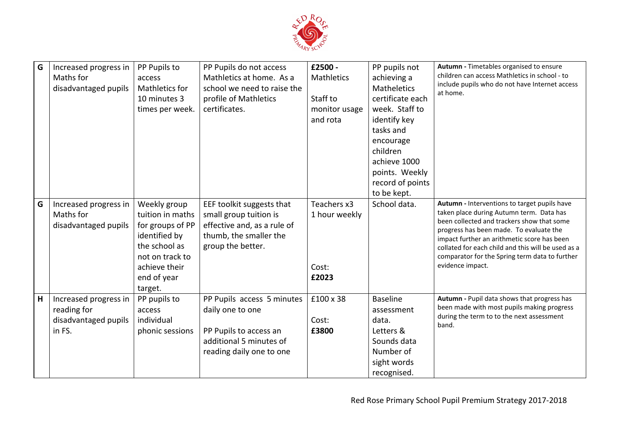

| G | Increased progress in<br>Maths for<br>disadvantaged pupils             | PP Pupils to<br>access<br>Mathletics for<br>10 minutes 3<br>times per week.                                                                          | PP Pupils do not access<br>Mathletics at home. As a<br>school we need to raise the<br>profile of Mathletics<br>certificates.      | £2500 -<br><b>Mathletics</b><br>Staff to<br>monitor usage<br>and rota | PP pupils not<br>achieving a<br><b>Matheletics</b><br>certificate each<br>week. Staff to<br>identify key<br>tasks and<br>encourage<br>children<br>achieve 1000<br>points. Weekly<br>record of points<br>to be kept. | Autumn - Timetables organised to ensure<br>children can access Mathletics in school - to<br>include pupils who do not have Internet access<br>at home.                                                                                                                                                                                                       |
|---|------------------------------------------------------------------------|------------------------------------------------------------------------------------------------------------------------------------------------------|-----------------------------------------------------------------------------------------------------------------------------------|-----------------------------------------------------------------------|---------------------------------------------------------------------------------------------------------------------------------------------------------------------------------------------------------------------|--------------------------------------------------------------------------------------------------------------------------------------------------------------------------------------------------------------------------------------------------------------------------------------------------------------------------------------------------------------|
| G | Increased progress in<br>Maths for<br>disadvantaged pupils             | Weekly group<br>tuition in maths<br>for groups of PP<br>identified by<br>the school as<br>not on track to<br>achieve their<br>end of year<br>target. | EEF toolkit suggests that<br>small group tuition is<br>effective and, as a rule of<br>thumb, the smaller the<br>group the better. | Teachers x3<br>1 hour weekly<br>Cost:<br>£2023                        | School data.                                                                                                                                                                                                        | Autumn - Interventions to target pupils have<br>taken place during Autumn term. Data has<br>been collected and trackers show that some<br>progress has been made. To evaluate the<br>impact further an arithmetic score has been<br>collated for each child and this will be used as a<br>comparator for the Spring term data to further<br>evidence impact. |
| н | Increased progress in<br>reading for<br>disadvantaged pupils<br>in FS. | PP pupils to<br>access<br>individual<br>phonic sessions                                                                                              | PP Pupils access 5 minutes<br>daily one to one<br>PP Pupils to access an<br>additional 5 minutes of<br>reading daily one to one   | £100 x 38<br>Cost:<br>£3800                                           | <b>Baseline</b><br>assessment<br>data.<br>Letters &<br>Sounds data<br>Number of<br>sight words<br>recognised.                                                                                                       | Autumn - Pupil data shows that progress has<br>been made with most pupils making progress<br>during the term to to the next assessment<br>band.                                                                                                                                                                                                              |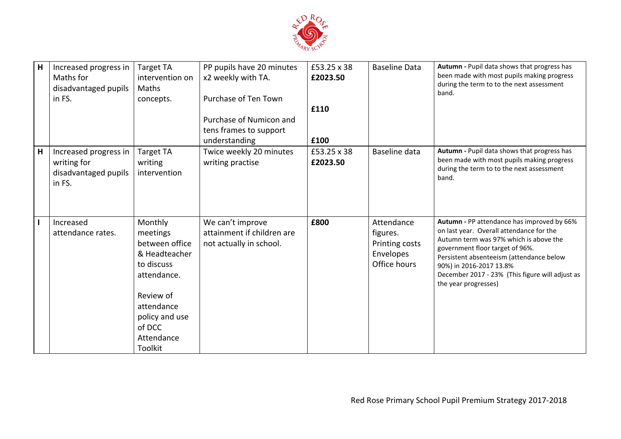

| н | Increased progress in<br>Maths for<br>disadvantaged pupils<br>in FS.   | Target TA<br>intervention on<br>Maths<br>concepts.                                                                                                                  | PP pupils have 20 minutes<br>x2 weekly with TA.<br>Purchase of Ten Town<br>Purchase of Numicon and<br>tens frames to support<br>understanding | £53.25 x 38<br>£2023.50<br>£110<br>£100 | <b>Baseline Data</b>                                                  | Autumn - Pupil data shows that progress has<br>been made with most pupils making progress<br>during the term to to the next assessment<br>band.                                                                                                                                                                       |
|---|------------------------------------------------------------------------|---------------------------------------------------------------------------------------------------------------------------------------------------------------------|-----------------------------------------------------------------------------------------------------------------------------------------------|-----------------------------------------|-----------------------------------------------------------------------|-----------------------------------------------------------------------------------------------------------------------------------------------------------------------------------------------------------------------------------------------------------------------------------------------------------------------|
| н | Increased progress in<br>writing for<br>disadvantaged pupils<br>in FS. | Target TA<br>writing<br>intervention                                                                                                                                | Twice weekly 20 minutes<br>writing practise                                                                                                   | £53.25 x 38<br>£2023.50                 | Baseline data                                                         | Autumn - Pupil data shows that progress has<br>been made with most pupils making progress<br>during the term to to the next assessment<br>band.                                                                                                                                                                       |
|   | Increased<br>attendance rates.                                         | Monthly<br>meetings<br>between office<br>& Headteacher<br>to discuss<br>attendance.<br>Review of<br>attendance<br>policy and use<br>of DCC<br>Attendance<br>Toolkit | We can't improve<br>attainment if children are<br>not actually in school.                                                                     | £800                                    | Attendance<br>figures.<br>Printing costs<br>Envelopes<br>Office hours | Autumn - PP attendance has improved by 66%<br>on last year. Overall attendance for the<br>Autumn term was 97% which is above the<br>government floor target of 96%.<br>Persistent absenteeism (attendance below<br>90%) in 2016-2017 13.8%<br>December 2017 - 23% (This figure will adjust as<br>the year progresses) |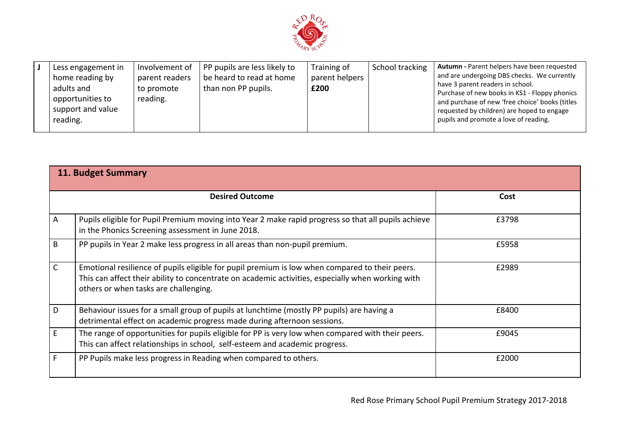

|  | Less engagement in<br>home reading by<br>adults and<br>opportunities to<br>reading.<br>support and value<br>reading. | PP pupils are less likely to<br>Involvement of<br>be heard to read at home<br>parent readers<br>than non PP pupils.<br>to promote | Training of<br>parent helpers<br>£200 | School tracking | Autumn - Parent helpers have been requested<br>and are undergoing DBS checks. We currently<br>have 3 parent readers in school.<br>Purchase of new books in KS1 - Floppy phonics<br>and purchase of new 'free choice' books (titles<br>requested by children) are hoped to engage<br>pupils and promote a love of reading. |
|--|----------------------------------------------------------------------------------------------------------------------|-----------------------------------------------------------------------------------------------------------------------------------|---------------------------------------|-----------------|---------------------------------------------------------------------------------------------------------------------------------------------------------------------------------------------------------------------------------------------------------------------------------------------------------------------------|
|--|----------------------------------------------------------------------------------------------------------------------|-----------------------------------------------------------------------------------------------------------------------------------|---------------------------------------|-----------------|---------------------------------------------------------------------------------------------------------------------------------------------------------------------------------------------------------------------------------------------------------------------------------------------------------------------------|

|              | 11. Budget Summary                                                                                                                                                                                                                           |       |  |  |  |
|--------------|----------------------------------------------------------------------------------------------------------------------------------------------------------------------------------------------------------------------------------------------|-------|--|--|--|
|              | <b>Desired Outcome</b>                                                                                                                                                                                                                       | Cost  |  |  |  |
| A            | Pupils eligible for Pupil Premium moving into Year 2 make rapid progress so that all pupils achieve<br>in the Phonics Screening assessment in June 2018.                                                                                     | £3798 |  |  |  |
| B            | PP pupils in Year 2 make less progress in all areas than non-pupil premium.                                                                                                                                                                  | £5958 |  |  |  |
| $\mathsf{C}$ | Emotional resilience of pupils eligible for pupil premium is low when compared to their peers.<br>This can affect their ability to concentrate on academic activities, especially when working with<br>others or when tasks are challenging. | £2989 |  |  |  |
| D            | Behaviour issues for a small group of pupils at lunchtime (mostly PP pupils) are having a<br>detrimental effect on academic progress made during afternoon sessions.                                                                         | £8400 |  |  |  |
| E            | The range of opportunities for pupils eligible for PP is very low when compared with their peers.<br>This can affect relationships in school, self-esteem and academic progress.                                                             | £9045 |  |  |  |
|              | PP Pupils make less progress in Reading when compared to others.                                                                                                                                                                             | £2000 |  |  |  |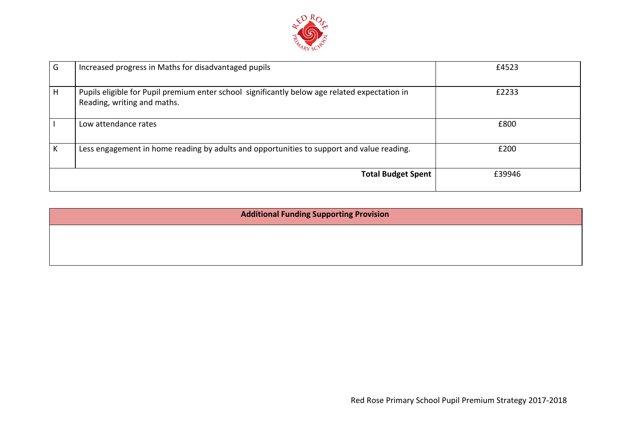

| G | Increased progress in Maths for disadvantaged pupils                                                                         | £4523  |
|---|------------------------------------------------------------------------------------------------------------------------------|--------|
| н | Pupils eligible for Pupil premium enter school significantly below age related expectation in<br>Reading, writing and maths. | £2233  |
|   | Low attendance rates                                                                                                         | £800   |
|   | Less engagement in home reading by adults and opportunities to support and value reading.                                    | £200   |
|   | <b>Total Budget Spent</b>                                                                                                    | £39946 |

| Additional Funding Supporting Provision |  |  |
|-----------------------------------------|--|--|
|                                         |  |  |
|                                         |  |  |
|                                         |  |  |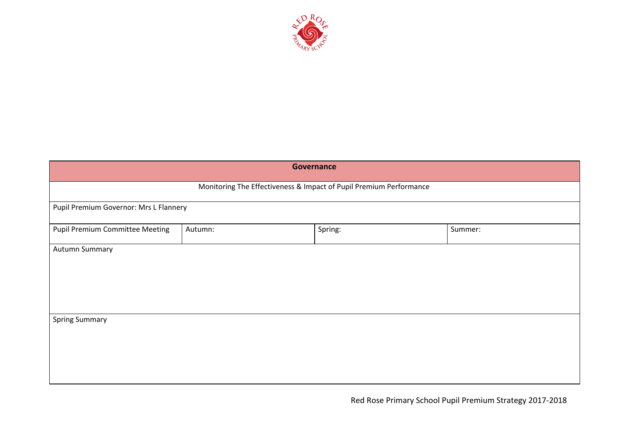

|                                                                    | <b>Governance</b>                      |         |         |  |  |
|--------------------------------------------------------------------|----------------------------------------|---------|---------|--|--|
| Monitoring The Effectiveness & Impact of Pupil Premium Performance |                                        |         |         |  |  |
|                                                                    | Pupil Premium Governor: Mrs L Flannery |         |         |  |  |
| <b>Pupil Premium Committee Meeting</b>                             | Autumn:                                | Spring: | Summer: |  |  |
| Autumn Summary                                                     |                                        |         |         |  |  |
|                                                                    |                                        |         |         |  |  |
|                                                                    |                                        |         |         |  |  |
|                                                                    |                                        |         |         |  |  |
| <b>Spring Summary</b>                                              |                                        |         |         |  |  |
|                                                                    |                                        |         |         |  |  |
|                                                                    |                                        |         |         |  |  |
|                                                                    |                                        |         |         |  |  |
|                                                                    |                                        |         |         |  |  |